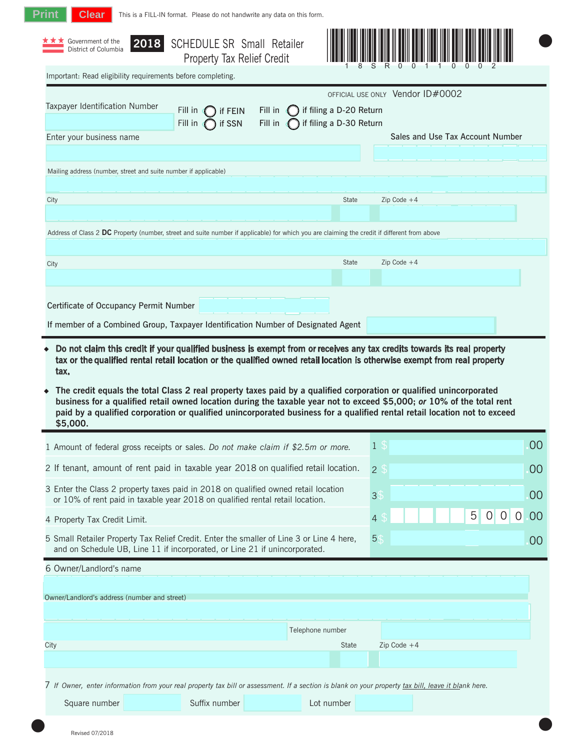| Government of the<br>District of Columbia                                                                                                                                                                                                                                                                                                                                            | <b>2018</b> SCHEDULE SR Small Retailer |         |                                  |                |                                  |                |     |                      |
|--------------------------------------------------------------------------------------------------------------------------------------------------------------------------------------------------------------------------------------------------------------------------------------------------------------------------------------------------------------------------------------|----------------------------------------|---------|----------------------------------|----------------|----------------------------------|----------------|-----|----------------------|
| Important: Read eligibility requirements before completing.                                                                                                                                                                                                                                                                                                                          | Property Tax Relief Credit             |         |                                  |                |                                  |                |     |                      |
|                                                                                                                                                                                                                                                                                                                                                                                      |                                        |         | OFFICIAL USE ONLY Vendor ID#0002 |                |                                  |                |     |                      |
| Taxpayer Identification Number                                                                                                                                                                                                                                                                                                                                                       | Fill in<br>if FEIN                     | Fill in | if filing a D-20 Return          |                |                                  |                |     |                      |
|                                                                                                                                                                                                                                                                                                                                                                                      | if SSN<br>Fill in                      | Fill in | if filing a D-30 Return          |                |                                  |                |     |                      |
| Enter your business name                                                                                                                                                                                                                                                                                                                                                             |                                        |         |                                  |                | Sales and Use Tax Account Number |                |     |                      |
| Mailing address (number, street and suite number if applicable)                                                                                                                                                                                                                                                                                                                      |                                        |         |                                  |                |                                  |                |     |                      |
|                                                                                                                                                                                                                                                                                                                                                                                      |                                        |         |                                  |                |                                  |                |     |                      |
| City                                                                                                                                                                                                                                                                                                                                                                                 |                                        |         | State                            |                | Zip Code $+4$                    |                |     |                      |
|                                                                                                                                                                                                                                                                                                                                                                                      |                                        |         |                                  |                |                                  |                |     |                      |
| Address of Class 2 DC Property (number, street and suite number if applicable) for which you are claiming the credit if different from above                                                                                                                                                                                                                                         |                                        |         |                                  |                |                                  |                |     |                      |
| City                                                                                                                                                                                                                                                                                                                                                                                 |                                        |         | <b>State</b>                     |                | $Zip Code + 4$                   |                |     |                      |
|                                                                                                                                                                                                                                                                                                                                                                                      |                                        |         |                                  |                |                                  |                |     |                      |
|                                                                                                                                                                                                                                                                                                                                                                                      |                                        |         |                                  |                |                                  |                |     |                      |
| Certificate of Occupancy Permit Number                                                                                                                                                                                                                                                                                                                                               |                                        |         |                                  |                |                                  |                |     |                      |
|                                                                                                                                                                                                                                                                                                                                                                                      |                                        |         |                                  |                |                                  |                |     |                      |
| Do not claim this credit if your qualified business is exempt from or receives any tax credits towards its real property<br>tax or the qualified rental retail location or the qualified owned retail location is otherwise exempt from real property<br>tax.<br>The credit equals the total Class 2 real property taxes paid by a qualified corporation or qualified unincorporated |                                        |         |                                  |                |                                  |                |     |                      |
| If member of a Combined Group, Taxpayer Identification Number of Designated Agent<br>business for a qualified retail owned location during the taxable year not to exceed \$5,000; or 10% of the total rent<br>paid by a qualified corporation or qualified unincorporated business for a qualified rental retail location not to exceed<br>\$5,000.                                 |                                        |         |                                  |                |                                  |                |     |                      |
| 1 Amount of federal gross receipts or sales. Do not make claim if \$2.5m or more.                                                                                                                                                                                                                                                                                                    |                                        |         |                                  | 1 <sup>3</sup> |                                  |                |     | 00                   |
| 2 If tenant, amount of rent paid in taxable year 2018 on qualified retail location.                                                                                                                                                                                                                                                                                                  |                                        |         |                                  | 2 <sup>5</sup> |                                  |                |     |                      |
| 3 Enter the Class 2 property taxes paid in 2018 on qualified owned retail location<br>or 10% of rent paid in taxable year 2018 on qualified rental retail location.                                                                                                                                                                                                                  |                                        |         |                                  | 3 <sup>°</sup> |                                  |                |     | 00<br>00             |
| 4 Property Tax Credit Limit.                                                                                                                                                                                                                                                                                                                                                         |                                        |         |                                  | 4 <sup>°</sup> |                                  | 5 <sup>5</sup> | 0 0 | $\overline{0}$<br>00 |
| 5 Small Retailer Property Tax Relief Credit. Enter the smaller of Line 3 or Line 4 here,<br>and on Schedule UB, Line 11 if incorporated, or Line 21 if unincorporated.                                                                                                                                                                                                               |                                        |         |                                  | 5\$            |                                  |                |     | 00                   |
| 6 Owner/Landlord's name                                                                                                                                                                                                                                                                                                                                                              |                                        |         |                                  |                |                                  |                |     |                      |
|                                                                                                                                                                                                                                                                                                                                                                                      |                                        |         |                                  |                |                                  |                |     |                      |
| Owner/Landlord's address (number and street)                                                                                                                                                                                                                                                                                                                                         |                                        |         |                                  |                |                                  |                |     |                      |
|                                                                                                                                                                                                                                                                                                                                                                                      |                                        |         |                                  |                |                                  |                |     |                      |
|                                                                                                                                                                                                                                                                                                                                                                                      |                                        |         | Telephone number                 |                |                                  |                |     |                      |
| City                                                                                                                                                                                                                                                                                                                                                                                 |                                        |         | State                            |                | $Zip Code + 4$                   |                |     |                      |